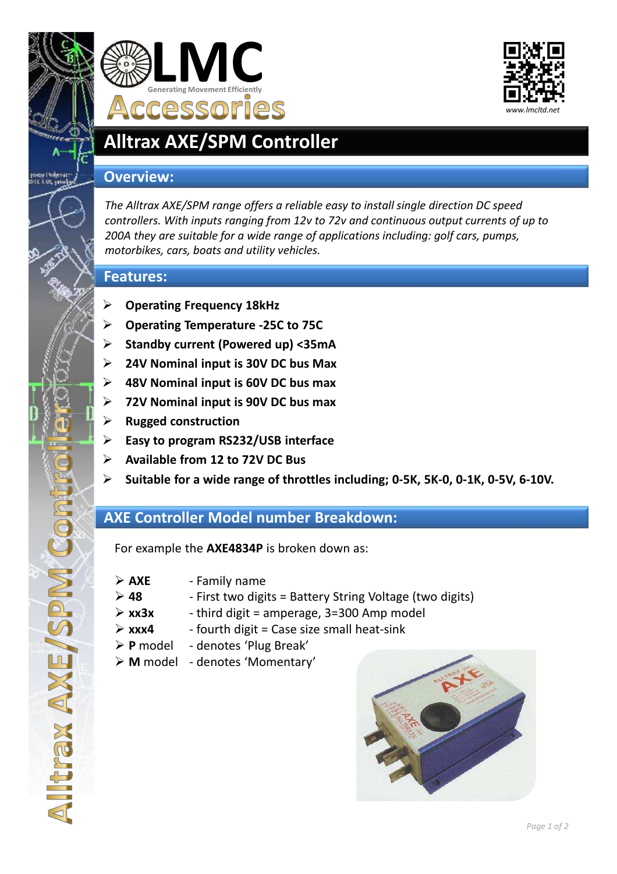

# **Alltrax AXE/SPM Controller**

**Generating Movement Efficiently**

**Accessories** 

**LMC**

### **Overview:**

*The Alltrax AXE/SPM range offers a reliable easy to install single direction DC speed controllers. With inputs ranging from 12v to 72v and continuous output currents of up to 200A they are suitable for a wide range of applications including: golf cars, pumps, motorbikes, cars, boats and utility vehicles.*

### **Features:**

- **Operating Frequency 18kHz**
- **Operating Temperature -25C to 75C**
- **Standby current (Powered up) <35mA**
- **24V Nominal input is 30V DC bus Max**
- **48V Nominal input is 60V DC bus max**
- **72V Nominal input is 90V DC bus max**
- **Rugged construction**
- **Easy to program RS232/USB interface**
- **Available from 12 to 72V DC Bus**
- **Suitable for a wide range of throttles including; 0-5K, 5K-0, 0-1K, 0-5V, 6-10V.**

## **AXE Controller Model number Breakdown:**

For example the **AXE4834P** is broken down as:

**AXE** - Family name

**SPM** 

**EXAMEN** 

- **48** First two digits = Battery String Voltage (two digits)
- $\triangleright$  xx3x third digit = amperage, 3=300 Amp model
- **xxx4** fourth digit = Case size small heat-sink
- **P** model denotes 'Plug Break'
- **M** model denotes 'Momentary'